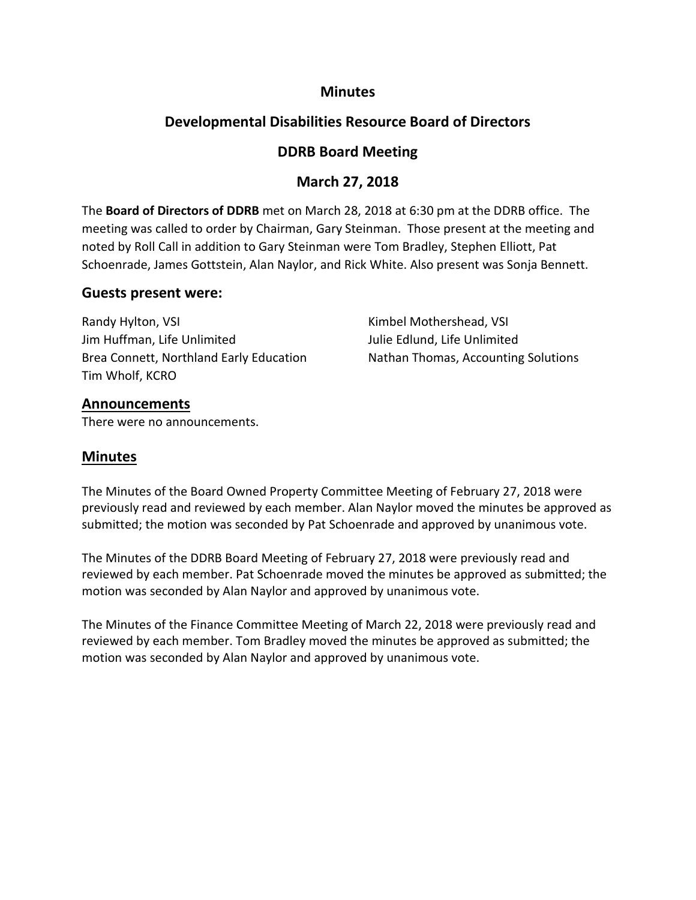### **Minutes**

# **Developmental Disabilities Resource Board of Directors**

# **DDRB Board Meeting**

# **March 27, 2018**

The **Board of Directors of DDRB** met on March 28, 2018 at 6:30 pm at the DDRB office. The meeting was called to order by Chairman, Gary Steinman. Those present at the meeting and noted by Roll Call in addition to Gary Steinman were Tom Bradley, Stephen Elliott, Pat Schoenrade, James Gottstein, Alan Naylor, and Rick White. Also present was Sonja Bennett.

### **Guests present were:**

| Randy Hylton, VSI                       | Kimbel Mothershead, VSI             |
|-----------------------------------------|-------------------------------------|
| Jim Huffman, Life Unlimited             | Julie Edlund, Life Unlimited        |
| Brea Connett, Northland Early Education | Nathan Thomas, Accounting Solutions |
| Tim Wholf, KCRO                         |                                     |

### **Announcements**

There were no announcements.

## **Minutes**

The Minutes of the Board Owned Property Committee Meeting of February 27, 2018 were previously read and reviewed by each member. Alan Naylor moved the minutes be approved as submitted; the motion was seconded by Pat Schoenrade and approved by unanimous vote.

The Minutes of the DDRB Board Meeting of February 27, 2018 were previously read and reviewed by each member. Pat Schoenrade moved the minutes be approved as submitted; the motion was seconded by Alan Naylor and approved by unanimous vote.

The Minutes of the Finance Committee Meeting of March 22, 2018 were previously read and reviewed by each member. Tom Bradley moved the minutes be approved as submitted; the motion was seconded by Alan Naylor and approved by unanimous vote.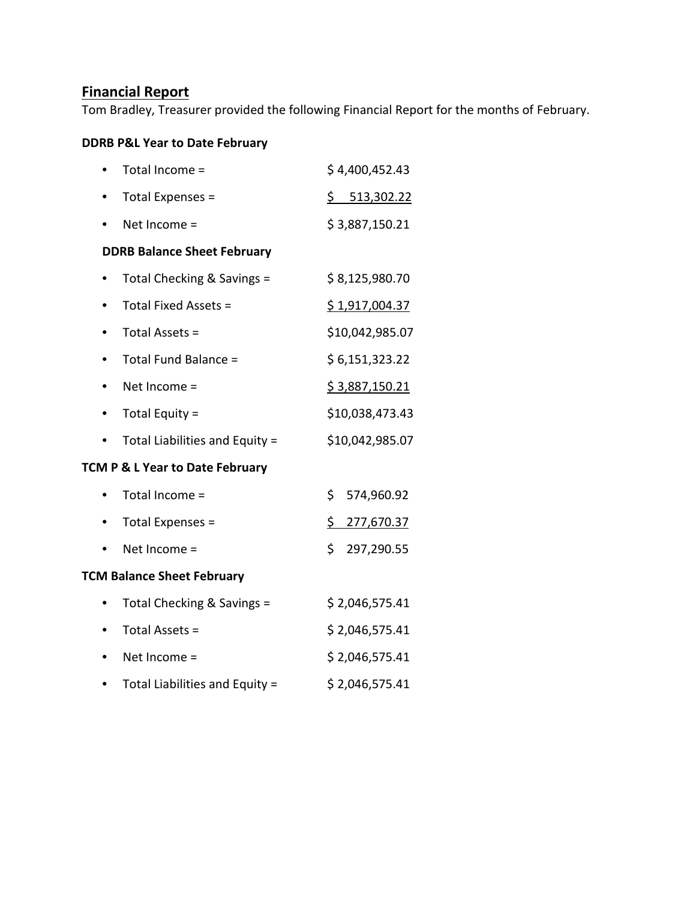# **Financial Report**

Tom Bradley, Treasurer provided the following Financial Report for the months of February.

## **DDRB P&L Year to Date February**

|                                    | Total Income =                 | \$4,400,452.43        |  |  |
|------------------------------------|--------------------------------|-----------------------|--|--|
|                                    | Total Expenses =               | \$513,302.22          |  |  |
|                                    | Net Income =                   | \$3,887,150.21        |  |  |
| <b>DDRB Balance Sheet February</b> |                                |                       |  |  |
|                                    | Total Checking & Savings =     | \$8,125,980.70        |  |  |
|                                    | Total Fixed Assets =           | \$1,917,004.37        |  |  |
|                                    | Total Assets =                 | \$10,042,985.07       |  |  |
|                                    | Total Fund Balance =           | \$ 6,151,323.22       |  |  |
|                                    | Net Income =                   | <u>\$3,887,150.21</u> |  |  |
|                                    | Total Equity =                 | \$10,038,473.43       |  |  |
|                                    | Total Liabilities and Equity = | \$10,042,985.07       |  |  |
| TCM P & L Year to Date February    |                                |                       |  |  |
|                                    | Total Income =                 | \$<br>574,960.92      |  |  |
|                                    | Total Expenses =               | \$<br>277,670.37      |  |  |
|                                    | Net Income =                   | \$<br>297,290.55      |  |  |
| <b>TCM Balance Sheet February</b>  |                                |                       |  |  |
|                                    | Total Checking & Savings =     | \$2,046,575.41        |  |  |
|                                    | Total Assets =                 | \$2,046,575.41        |  |  |
|                                    | Net Income =                   | \$2,046,575.41        |  |  |
|                                    | Total Liabilities and Equity = | \$2,046,575.41        |  |  |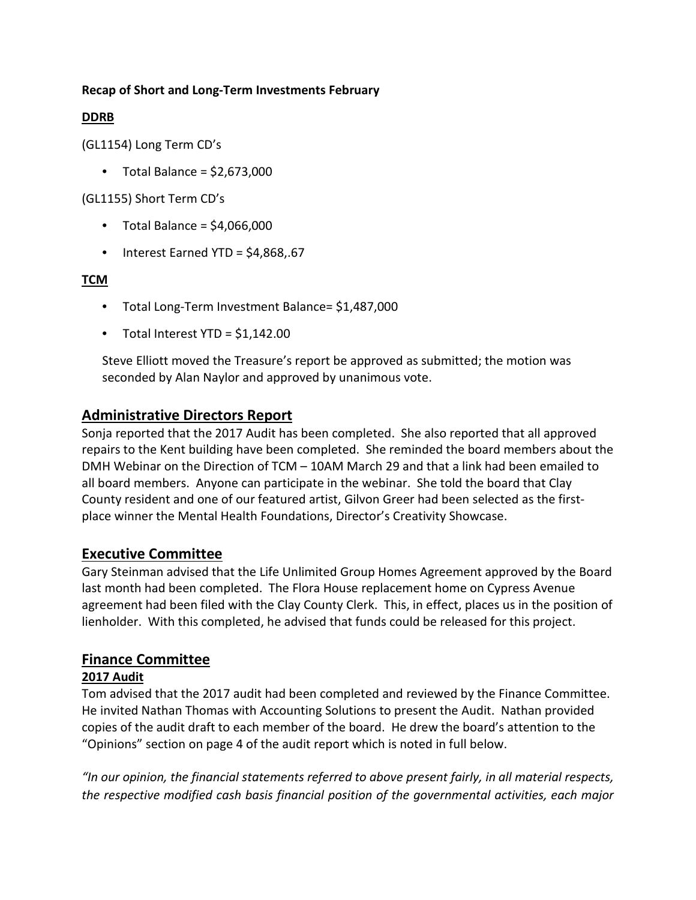#### **Recap of Short and Long-Term Investments February**

#### **DDRB**

(GL1154) Long Term CD's

 $\bullet$  Total Balance = \$2,673,000

(GL1155) Short Term CD's

- $\bullet$  Total Balance = \$4,066,000
- Interest Earned YTD = \$4,868,.67

#### **TCM**

- Total Long-Term Investment Balance= \$1,487,000
- Total Interest YTD =  $$1,142.00$

Steve Elliott moved the Treasure's report be approved as submitted; the motion was seconded by Alan Naylor and approved by unanimous vote.

# **Administrative Directors Report**

Sonja reported that the 2017 Audit has been completed. She also reported that all approved repairs to the Kent building have been completed. She reminded the board members about the DMH Webinar on the Direction of TCM – 10AM March 29 and that a link had been emailed to all board members. Anyone can participate in the webinar. She told the board that Clay County resident and one of our featured artist, Gilvon Greer had been selected as the firstplace winner the Mental Health Foundations, Director's Creativity Showcase.

## **Executive Committee**

Gary Steinman advised that the Life Unlimited Group Homes Agreement approved by the Board last month had been completed. The Flora House replacement home on Cypress Avenue agreement had been filed with the Clay County Clerk. This, in effect, places us in the position of lienholder. With this completed, he advised that funds could be released for this project.

# **Finance Committee**

#### **2017 Audit**

Tom advised that the 2017 audit had been completed and reviewed by the Finance Committee. He invited Nathan Thomas with Accounting Solutions to present the Audit. Nathan provided copies of the audit draft to each member of the board. He drew the board's attention to the "Opinions" section on page 4 of the audit report which is noted in full below.

*"In our opinion, the financial statements referred to above present fairly, in all material respects, the respective modified cash basis financial position of the governmental activities, each major*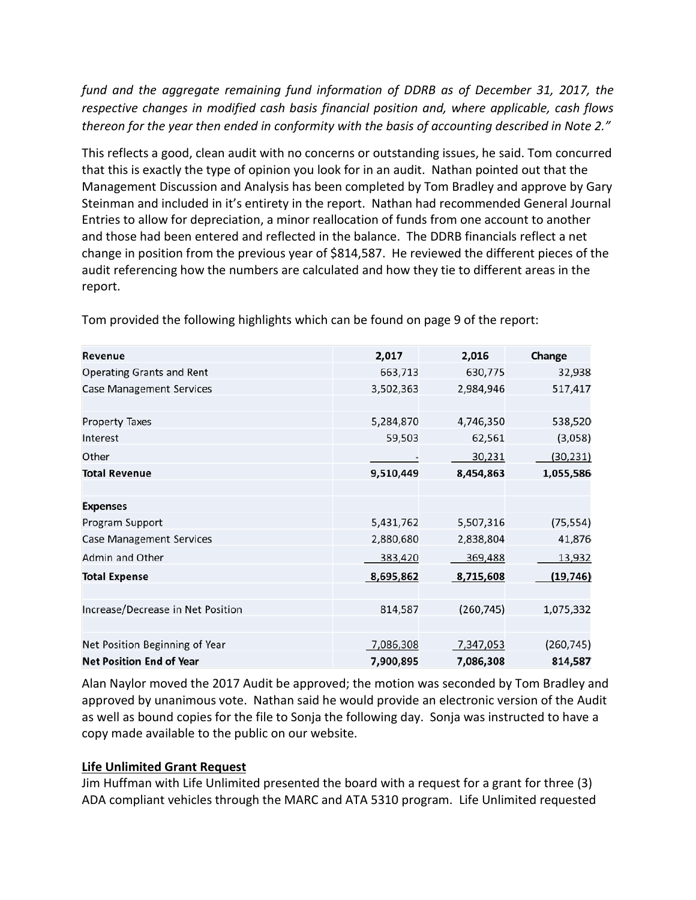*fund and the aggregate remaining fund information of DDRB as of December 31, 2017, the respective changes in modified cash basis financial position and, where applicable, cash flows thereon for the year then ended in conformity with the basis of accounting described in Note 2."*

This reflects a good, clean audit with no concerns or outstanding issues, he said. Tom concurred that this is exactly the type of opinion you look for in an audit. Nathan pointed out that the Management Discussion and Analysis has been completed by Tom Bradley and approve by Gary Steinman and included in it's entirety in the report. Nathan had recommended General Journal Entries to allow for depreciation, a minor reallocation of funds from one account to another and those had been entered and reflected in the balance. The DDRB financials reflect a net change in position from the previous year of \$814,587. He reviewed the different pieces of the audit referencing how the numbers are calculated and how they tie to different areas in the report.

| Revenue                           | 2,017     | 2,016      | Change     |
|-----------------------------------|-----------|------------|------------|
| <b>Operating Grants and Rent</b>  | 663,713   | 630,775    | 32,938     |
| <b>Case Management Services</b>   | 3,502,363 | 2,984,946  | 517,417    |
|                                   |           |            |            |
| <b>Property Taxes</b>             | 5,284,870 | 4,746,350  | 538,520    |
| Interest                          | 59,503    | 62,561     | (3,058)    |
| Other                             |           | 30,231     | (30, 231)  |
| <b>Total Revenue</b>              | 9,510,449 | 8,454,863  | 1,055,586  |
|                                   |           |            |            |
| <b>Expenses</b>                   |           |            |            |
| Program Support                   | 5,431,762 | 5,507,316  | (75, 554)  |
| <b>Case Management Services</b>   | 2,880,680 | 2,838,804  | 41,876     |
| Admin and Other                   | 383,420   | 369,488    | 13,932     |
| <b>Total Expense</b>              | 8,695,862 | 8,715,608  | (19, 746)  |
|                                   |           |            |            |
| Increase/Decrease in Net Position | 814,587   | (260, 745) | 1,075,332  |
|                                   |           |            |            |
| Net Position Beginning of Year    | 7,086,308 | 7,347,053  | (260, 745) |
| <b>Net Position End of Year</b>   | 7,900,895 | 7,086,308  | 814,587    |

Tom provided the following highlights which can be found on page 9 of the report:

Alan Naylor moved the 2017 Audit be approved; the motion was seconded by Tom Bradley and approved by unanimous vote. Nathan said he would provide an electronic version of the Audit as well as bound copies for the file to Sonja the following day. Sonja was instructed to have a copy made available to the public on our website.

#### **Life Unlimited Grant Request**

Jim Huffman with Life Unlimited presented the board with a request for a grant for three (3) ADA compliant vehicles through the MARC and ATA 5310 program. Life Unlimited requested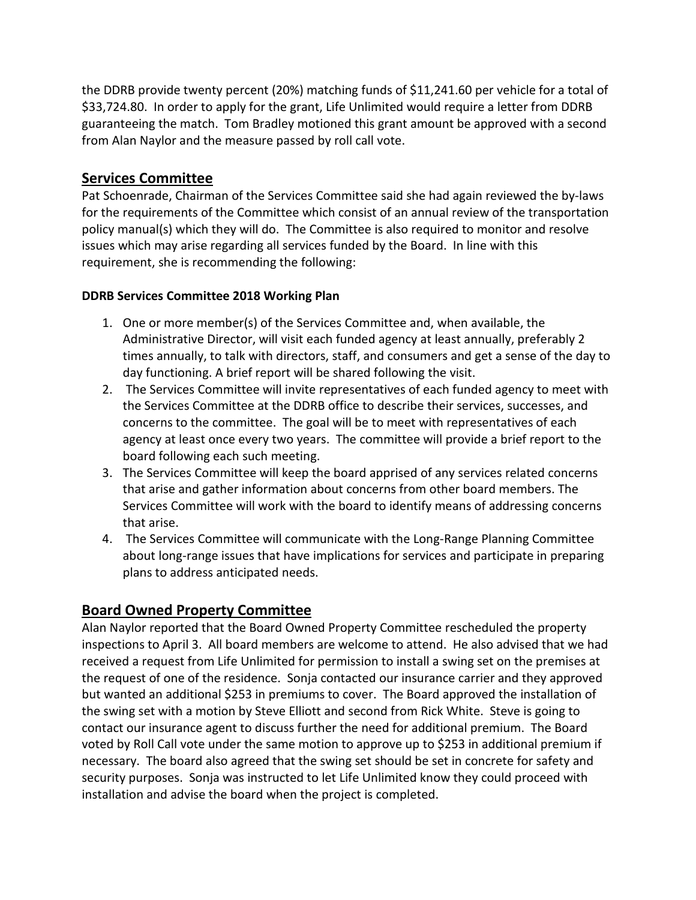the DDRB provide twenty percent (20%) matching funds of \$11,241.60 per vehicle for a total of \$33,724.80. In order to apply for the grant, Life Unlimited would require a letter from DDRB guaranteeing the match. Tom Bradley motioned this grant amount be approved with a second from Alan Naylor and the measure passed by roll call vote.

### **Services Committee**

Pat Schoenrade, Chairman of the Services Committee said she had again reviewed the by-laws for the requirements of the Committee which consist of an annual review of the transportation policy manual(s) which they will do. The Committee is also required to monitor and resolve issues which may arise regarding all services funded by the Board. In line with this requirement, she is recommending the following:

#### **DDRB Services Committee 2018 Working Plan**

- 1. One or more member(s) of the Services Committee and, when available, the Administrative Director, will visit each funded agency at least annually, preferably 2 times annually, to talk with directors, staff, and consumers and get a sense of the day to day functioning. A brief report will be shared following the visit.
- 2. The Services Committee will invite representatives of each funded agency to meet with the Services Committee at the DDRB office to describe their services, successes, and concerns to the committee. The goal will be to meet with representatives of each agency at least once every two years. The committee will provide a brief report to the board following each such meeting.
- 3. The Services Committee will keep the board apprised of any services related concerns that arise and gather information about concerns from other board members. The Services Committee will work with the board to identify means of addressing concerns that arise.
- 4. The Services Committee will communicate with the Long-Range Planning Committee about long-range issues that have implications for services and participate in preparing plans to address anticipated needs.

## **Board Owned Property Committee**

Alan Naylor reported that the Board Owned Property Committee rescheduled the property inspections to April 3. All board members are welcome to attend. He also advised that we had received a request from Life Unlimited for permission to install a swing set on the premises at the request of one of the residence. Sonja contacted our insurance carrier and they approved but wanted an additional \$253 in premiums to cover. The Board approved the installation of the swing set with a motion by Steve Elliott and second from Rick White. Steve is going to contact our insurance agent to discuss further the need for additional premium. The Board voted by Roll Call vote under the same motion to approve up to \$253 in additional premium if necessary. The board also agreed that the swing set should be set in concrete for safety and security purposes. Sonja was instructed to let Life Unlimited know they could proceed with installation and advise the board when the project is completed.